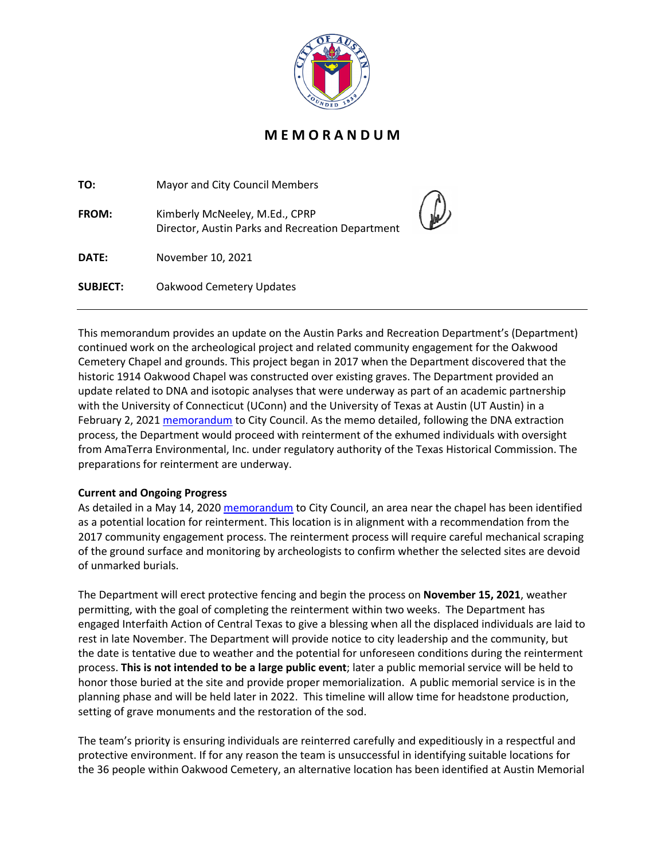

## **M E M O R A N D U M**

| TO:             | Mayor and City Council Members                                                     |  |
|-----------------|------------------------------------------------------------------------------------|--|
| FROM:           | Kimberly McNeeley, M.Ed., CPRP<br>Director, Austin Parks and Recreation Department |  |
| DATE:           | November 10, 2021                                                                  |  |
| <b>SUBJECT:</b> | Oakwood Cemetery Updates                                                           |  |

This memorandum provides an update on the Austin Parks and Recreation Department's (Department) continued work on the archeological project and related community engagement for the Oakwood Cemetery Chapel and grounds. This project began in 2017 when the Department discovered that the historic 1914 Oakwood Chapel was constructed over existing graves. The Department provided an update related to DNA and isotopic analyses that were underway as part of an academic partnership with the University of Connecticut (UConn) and the University of Texas at Austin (UT Austin) in a February 2, 2021 [memorandum](http://www.austintexas.gov/edims/pio/document.cfm?id=354201) to City Council. As the memo detailed, following the DNA extraction process, the Department would proceed with reinterment of the exhumed individuals with oversight from AmaTerra Environmental, Inc. under regulatory authority of the Texas Historical Commission. The preparations for reinterment are underway.

## **Current and Ongoing Progress**

As detailed in a May 14, 2020 [memorandum](http://www.austintexas.gov/edims/pio/document.cfm?id=340397) to City Council, an area near the chapel has been identified as a potential location for reinterment. This location is in alignment with a recommendation from the 2017 community engagement process. The reinterment process will require careful mechanical scraping of the ground surface and monitoring by archeologists to confirm whether the selected sites are devoid of unmarked burials.

The Department will erect protective fencing and begin the process on **November 15, 2021**, weather permitting, with the goal of completing the reinterment within two weeks. The Department has engaged Interfaith Action of Central Texas to give a blessing when all the displaced individuals are laid to rest in late November. The Department will provide notice to city leadership and the community, but the date is tentative due to weather and the potential for unforeseen conditions during the reinterment process. **This is not intended to be a large public event**; later a public memorial service will be held to honor those buried at the site and provide proper memorialization. A public memorial service is in the planning phase and will be held later in 2022. This timeline will allow time for headstone production, setting of grave monuments and the restoration of the sod.

The team's priority is ensuring individuals are reinterred carefully and expeditiously in a respectful and protective environment. If for any reason the team is unsuccessful in identifying suitable locations for the 36 people within Oakwood Cemetery, an alternative location has been identified at Austin Memorial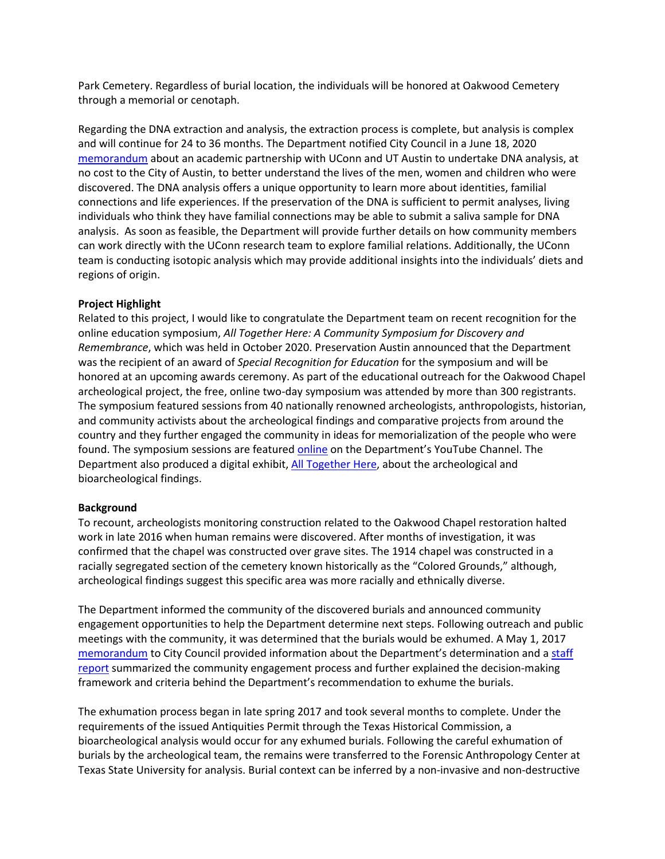Park Cemetery. Regardless of burial location, the individuals will be honored at Oakwood Cemetery through a memorial or cenotaph.

Regarding the DNA extraction and analysis, the extraction process is complete, but analysis is complex and will continue for 24 to 36 months. The Department notified City Council in a June 18, 2020 [memorandum](http://www.austintexas.gov/edims/pio/document.cfm?id=342270) about an academic partnership with UConn and UT Austin to undertake DNA analysis, at no cost to the City of Austin, to better understand the lives of the men, women and children who were discovered. The DNA analysis offers a unique opportunity to learn more about identities, familial connections and life experiences. If the preservation of the DNA is sufficient to permit analyses, living individuals who think they have familial connections may be able to submit a saliva sample for DNA analysis. As soon as feasible, the Department will provide further details on how community members can work directly with the UConn research team to explore familial relations. Additionally, the UConn team is conducting isotopic analysis which may provide additional insights into the individuals' diets and regions of origin.

## **Project Highlight**

Related to this project, I would like to congratulate the Department team on recent recognition for the online education symposium, *All Together Here: A Community Symposium for Discovery and Remembrance*, which was held in October 2020. Preservation Austin announced that the Department was the recipient of an award of *Special Recognition for Education* for the symposium and will be honored at an upcoming awards ceremony. As part of the educational outreach for the Oakwood Chapel archeological project, the free, online two-day symposium was attended by more than 300 registrants. The symposium featured sessions from 40 nationally renowned archeologists, anthropologists, historian, and community activists about the archeological findings and comparative projects from around the country and they further engaged the community in ideas for memorialization of the people who were found. The symposium sessions are featured [online](https://www.youtube.com/playlist?app=desktop&list=PLelTMMBW0YOQV6QssY0ufCEu2sm5n_zcX) on the Department's YouTube Channel. The Department also produced a digital exhibit, [All Together Here,](https://storymaps.arcgis.com/collections/eacb51b55ce945889c23f6f8ba62d186) about the archeological and bioarcheological findings.

## **Background**

To recount, archeologists monitoring construction related to the Oakwood Chapel restoration halted work in late 2016 when human remains were discovered. After months of investigation, it was confirmed that the chapel was constructed over grave sites. The 1914 chapel was constructed in a racially segregated section of the cemetery known historically as the "Colored Grounds," although, archeological findings suggest this specific area was more racially and ethnically diverse.

The Department informed the community of the discovered burials and announced community engagement opportunities to help the Department determine next steps. Following outreach and public meetings with the community, it was determined that the burials would be exhumed. A May 1, 2017 [memorandum](https://www.austintexas.gov/edims/pio/document.cfm?id=276185) to City Council provided information about the Department's determination and a staff [report](https://www.austintexas.gov/sites/default/files/files/Parks/Planning_and_Development/172704_FINAL_BINDER_OakwoodStaffReport.pdf) summarized the community engagement process and further explained the decision-making framework and criteria behind the Department's recommendation to exhume the burials.

The exhumation process began in late spring 2017 and took several months to complete. Under the requirements of the issued Antiquities Permit through the Texas Historical Commission, a bioarcheological analysis would occur for any exhumed burials. Following the careful exhumation of burials by the archeological team, the remains were transferred to the Forensic Anthropology Center at Texas State University for analysis. Burial context can be inferred by a non-invasive and non-destructive